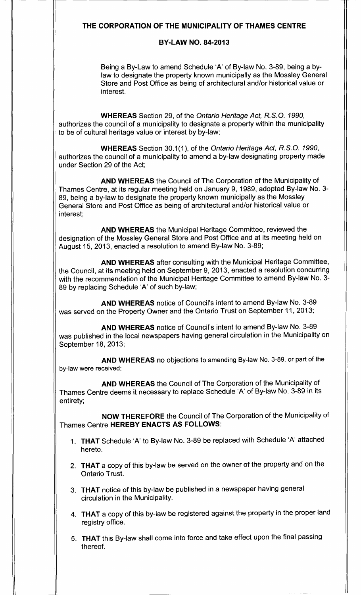# THE CORPORATION OF THE MUNICIPALITY OF THAMES CENTRE

# BY-LAW NO. 84-2013

Being a By-Law to amend Schedule 'A' of By-law No. 3-89, being a bylaw to designate the property known municipally as the Mossley General Store and Post Office as being of architectural and/or historical value or interest.

WHEREAS Section 29, of the Ontario Heritage Act, R.S.O. 1990, authorizes the council of a municipality to designate a property within the municipality to be of cultural heritage value or interest by by-law;

WHEREAS Section 30.1(1), of the Ontario Heritage Act, R.S.O. 1990, authorizes the council of a municipality to amend a by-law designating property made under Section 29 of the Act;

AND WHEREAS the Council of The Corporation of the Municipality of Thames Centre, at its regular meeting held on January 9, 1989, adopted By-law No. 3- 89, being a by-law to designate the property known municipally as the Mossley General Store and Post Office as being of architectural and/or historical value or interest;

AND WHEREAS the Municipal Heritage Committee, reviewed the designation of the Mossley General Store and Post Office and at its meeting held on August 15, 2013, enacted a resolution to amend By-law No. 3-89;

AND WHEREAS after consulting with the Municipal Heritage Committee, the Council, at its meeting held on September 9, 2013, enacted a resolution concurring with the recommendation of the Municipal Heritage Committee to amend By-law No. 3- 89 by replacing Schedule 'A' of such by-law;

AND WHEREAS notice of Council's intent to amend By-law No. 3-89 was served on the Property Owner and the Ontario Trust on September 11, 2013;

AND WHEREAS notice of Council's intent to amend By-law No. 3-89 was published in the local newspapers having general circulation in the Municipality on September 18, 2013;

AND WHEREAS no objections to amending By-law No. 3-89, or part of the by-law were received;

AND WHEREAS the Council of The Corporation of the Municipality of Thames Centre deems it necessary to replace Schedule 'A' of By-law No. 3-89 in its entirety;

NOW THEREFORE the Council of The Corporation of the Municipality of Thames Centre HEREBY ENACTS AS FOLLOWS:

- 1. THAT Schedule 'A' to By-law No. 3-89 be replaced with Schedule 'A' attached hereto.
- 2. THAT a copy of this by-law be served on the owner of the property and on the Ontario Trust.
- 3. THAT notice of this by-law be published in a newspaper having general circulation in the Municipality.
- 4. THAT a copy of this by-law be registered against the property in the proper land registry office.
- 5. THAT this By-law shall come into force and take effect upon the final passing thereof.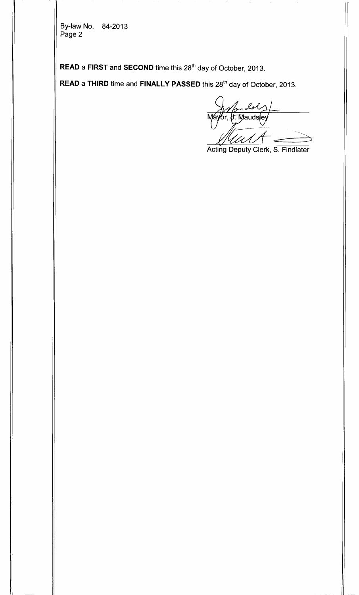By-law No. 84-2013 Page 2

 $\textsf{\textbf{READ}}$  a  $\textsf{\textbf{FIRST}}$  and  $\textsf{\textbf{SECOND}}$  time this  $28^\textsf{th}$  day of October, 2013.

 $\boldsymbol{\mathsf{READ}}$  a THIRD time and  $\boldsymbol{\mathsf{FINALLY}}$   $\boldsymbol{\mathsf{PASSED}}$  this 28 $^{\text{th}}$  day of October, 2013.

ls r, **b. Maudsl**e

Acting Deputy Clerk, S. Findlater